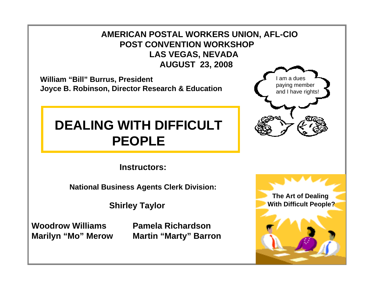**AMERICAN POSTAL WORKERS UNION, AFL-CIO POST CONVENTION WORKSHOPLAS VEGAS, NEVADA AUGUST 23, 2008**

**William "Bill" Burrus, President Joyce B. Robinson, Director Research & Education**

#### **DEALING WITH DIFFICULTPEOPLE**

**Instructors:**

**National Business Agents Clerk Division:**

**Shirley Taylor**

**Woodrow Williams Pamela Richardson**

**Marilyn "Mo" Merow Martin "Marty" Barron**

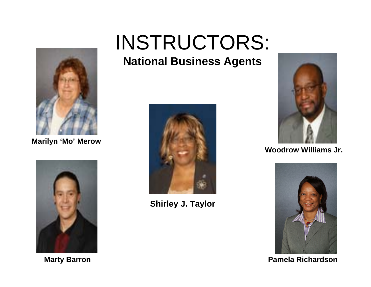

**Marilyn 'Mo' Merow**



## INSTRUCTORS:

#### **National Business Agents**



**Shirley J. Taylor**



**Woodrow Williams Jr.**



**Marty Barron Pamela Richardson**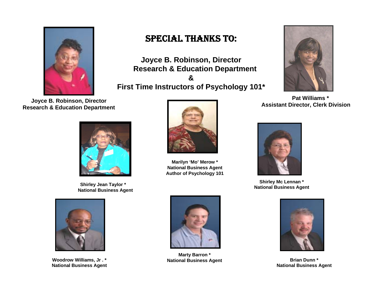

**Assistant Director, Clerk Division Joyce B. Robinson, Director Research & Education Department**



**Shirley Jean Taylor \* National Business Agent**



**Woodrow Williams, Jr . \* National Business Agent**



**Joyce B. Robinson, Director Research & Education Department &First Time Instructors of Psychology 101\***



**Pat Williams \***



**Marilyn 'Mo' Merow \* National Business Agent Author of Psychology 101**



**Shirley Mc Lennan \* National Business Agent**



**National Business Agent**



**Marty Barron \* National Business Agent Brian Dunn \***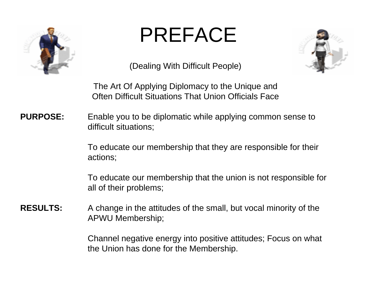

### PREFACE



(Dealing With Difficult People)

The Art Of Applying Diplomacy to the Unique and Often Difficult Situations That Union Officials Face

#### **PURPOSE:** Enable you to be diplomatic while applying common sense to difficult situations;

To educate our membership that they are responsible for their actions;

To educate our membership that the union is not responsible for all of their problems;

#### **RESULTS:** A change in the attitudes of the small, but vocal minority of the APWU Membership;

Channel negative energy into positive attitudes; Focus on what the Union has done for the Membership.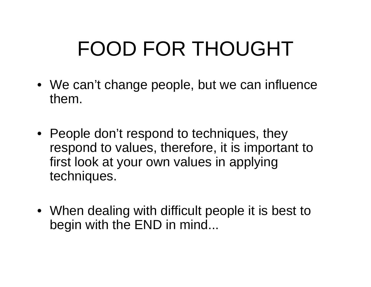# FOOD FOR THOUGHT

- We can't change people, but we can influence them.
- People don't respond to techniques, they respond to values, therefore, it is important to first look at your own values in applying techniques.
- When dealing with difficult people it is best to begin with the END in mind...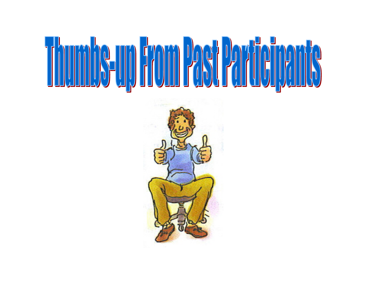

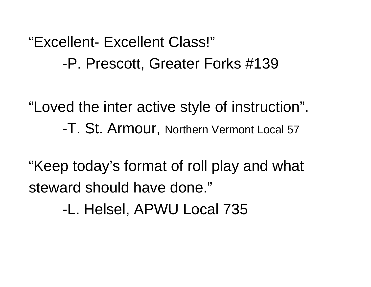"Excellent- Excellent Class!" -P. Prescott, Greater Forks #139

"Loved the inter active style of instruction". -T. St. Armour, Northern Vermont Local 57

"Keep today's format of roll play and what steward should have done."

-L. Helsel, APWU Local 735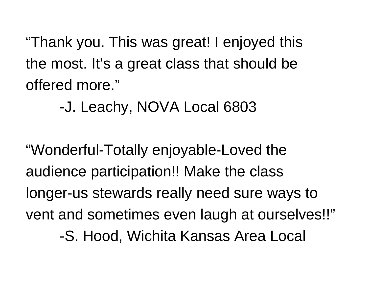"Thank you. This was great! I enjoyed this the most. It's a great class that should be offered more."

-J. Leachy, NOVA Local 6803

"Wonderful-Totally enjoyable-Loved the audience participation!! Make the class longer-us stewards really need sure ways to vent and sometimes even laugh at ourselves!!" -S. Hood, Wichita Kansas Area Local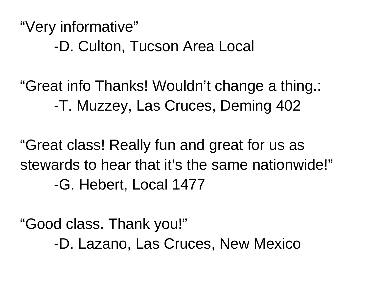"Very informative" -D. Culton, Tucson Area Local

"Great info Thanks! Wouldn't change a thing.: -T. Muzzey, Las Cruces, Deming 402

"Great class! Really fun and great for us as stewards to hear that it's the same nationwide!" -G. Hebert, Local 1477

"Good class. Thank you!" -D. Lazano, Las Cruces, New Mexico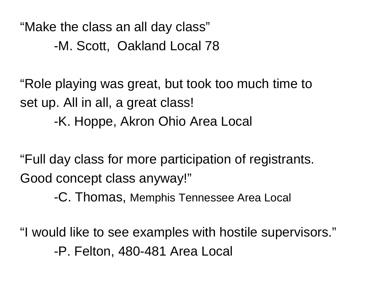"Make the class an all day class" -M. Scott, Oakland Local 78

"Role playing was great, but took too much time to set up. All in all, a great class!

-K. Hoppe, Akron Ohio Area Local

"Full day class for more participation of registrants. Good concept class anyway!"

-C. Thomas, Memphis Tennessee Area Local

"I would like to see examples with hostile supervisors." -P. Felton, 480-481 Area Local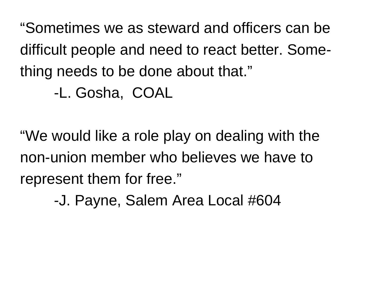"Sometimes we as steward and officers can be difficult people and need to react better. Something needs to be done about that."

#### -L. Gosha, COAL

"We would like a role play on dealing with the non-union member who believes we have to represent them for free."

-J. Payne, Salem Area Local #604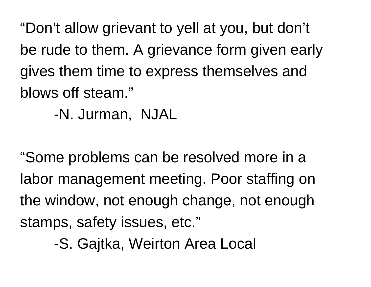"Don't allow grievant to yell at you, but don't be rude to them. A grievance form given early gives them time to express themselves and blows off steam."

-N. Jurman, NJAL

"Some problems can be resolved more in a labor management meeting. Poor staffing on the window, not enough change, not enough stamps, safety issues, etc."

-S. Gajtka, Weirton Area Local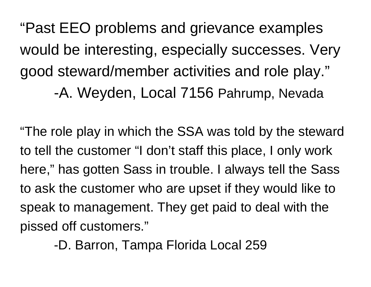"Past EEO problems and grievance examples would be interesting, especially successes. Very good steward/member activities and role play." -A. Weyden, Local 7156 Pahrump, Nevada

"The role play in which the SSA was told by the steward to tell the customer "I don't staff this place, I only work here," has gotten Sass in trouble. I always tell the Sass to ask the customer who are upset if they would like to speak to management. They get paid to deal with the pissed off customers."

-D. Barron, Tampa Florida Local 259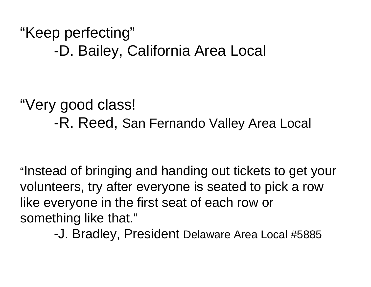"Keep perfecting" -D. Bailey, California Area Local

"Very good class! -R. Reed, San Fernando Valley Area Local

"Instead of bringing and handing out tickets to get your volunteers, try after everyone is seated to pick a row like everyone in the first seat of each row or something like that."

-J. Bradley, President Delaware Area Local #5885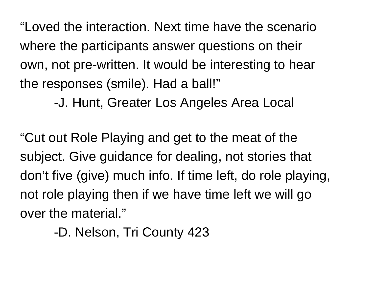"Loved the interaction. Next time have the scenario where the participants answer questions on their own, not pre-written. It would be interesting to hear the responses (smile). Had a ball!"

-J. Hunt, Greater Los Angeles Area Local

"Cut out Role Playing and get to the meat of the subject. Give guidance for dealing, not stories that don't five (give) much info. If time left, do role playing, not role playing then if we have time left we will go over the material."

-D. Nelson, Tri County 423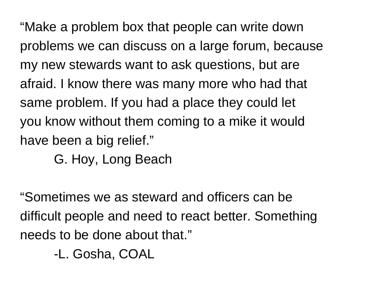"Make a problem box that people can write down problems we can discuss on a large forum, because my new stewards want to ask questions, but are afraid. I know there was many more who had that same problem. If you had a place they could let you know without them coming to a mike it would have been a big relief."

G. Hoy, Long Beach

"Sometimes we as steward and officers can be difficult people and need to react better. Something needs to be done about that."

-L. Gosha, COAL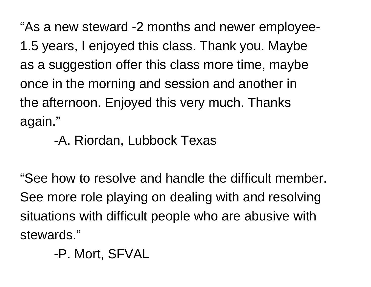"As a new steward -2 months and newer employee-1.5 years, I enjoyed this class. Thank you. Maybe as a suggestion offer this class more time, maybe once in the morning and session and another in the afternoon. Enjoyed this very much. Thanks again."

#### -A. Riordan, Lubbock Texas

"See how to resolve and handle the difficult member. See more role playing on dealing with and resolving situations with difficult people who are abusive with stewards."

-P. Mort, SFVAL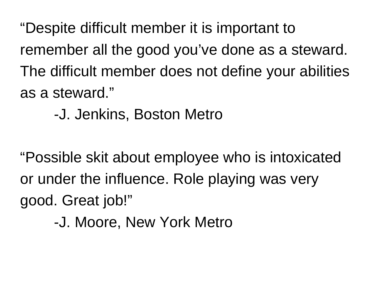"Despite difficult member it is important to remember all the good you've done as a steward. The difficult member does not define your abilities as a steward."

-J. Jenkins, Boston Metro

"Possible skit about employee who is intoxicated or under the influence. Role playing was very good. Great job!"

-J. Moore, New York Metro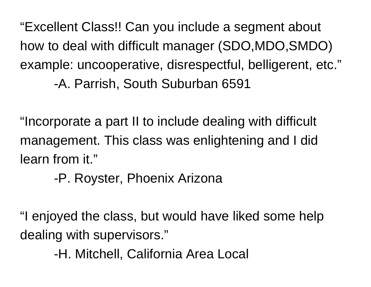"Excellent Class!! Can you include a segment about how to deal with difficult manager (SDO,MDO,SMDO) example: uncooperative, disrespectful, belligerent, etc." -A. Parrish, South Suburban 6591

"Incorporate a part II to include dealing with difficult management. This class was enlightening and I did learn from it."

-P. Royster, Phoenix Arizona

"I enjoyed the class, but would have liked some help dealing with supervisors."

-H. Mitchell, California Area Local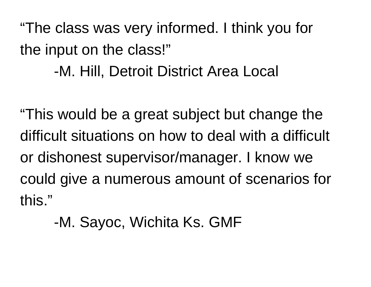"The class was very informed. I think you for the input on the class!"

-M. Hill, Detroit District Area Local

"This would be a great subject but change the difficult situations on how to deal with a difficult or dishonest supervisor/manager. I know we could give a numerous amount of scenarios for this."

-M. Sayoc, Wichita Ks. GMF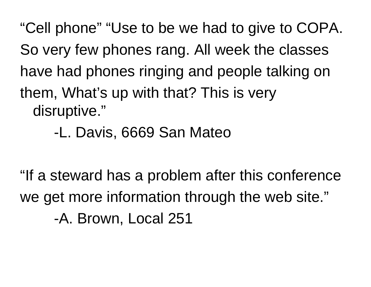"Cell phone" "Use to be we had to give to COPA. So very few phones rang. All week the classes have had phones ringing and people talking on them, What's up with that? This is very disruptive."

-L. Davis, 6669 San Mateo

"If a steward has a problem after this conference we get more information through the web site." -A. Brown, Local 251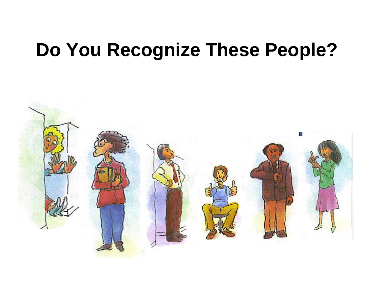#### **Do You Recognize These People?**

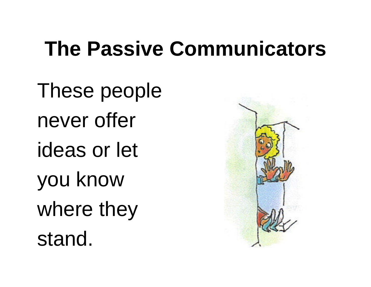### **The Passive Communicators**

These people never offer ideas or let you know where they stand.

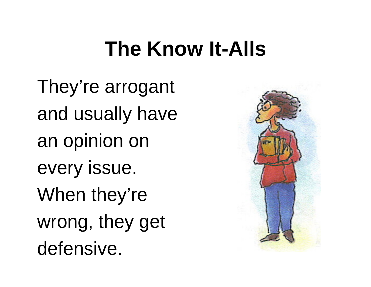### **The Know It-Alls**

They're arrogant and usually have an opinion on every issue. When they're wrong, they get defensive.

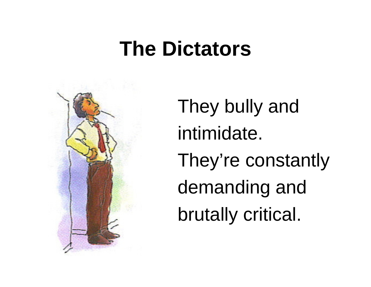### **The Dictators**



They bully and intimidate. They're constantly demanding and brutally critical.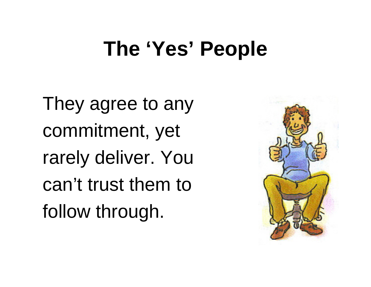### **The 'Yes' People**

They agree to any commitment, yet rarely deliver. You can't trust them to follow through.

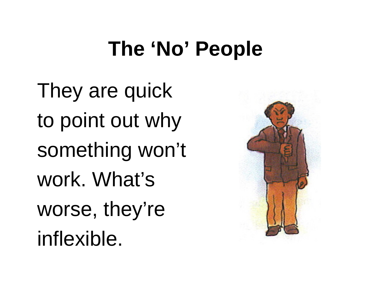# **The 'No' People**

They are quick to point out why something won't work. What's worse, they're inflexible.

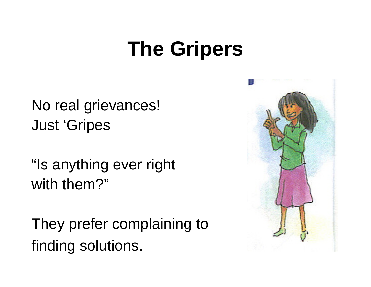### **The Gripers**

No real grievances! Just 'Gripes

"Is anything ever right with them?"

They prefer complaining to finding solutions.

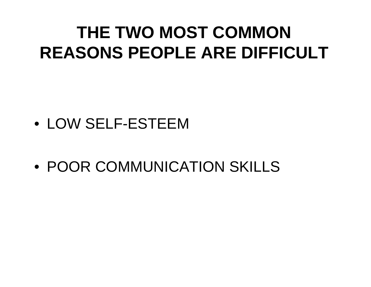#### **THE TWO MOST COMMONREASONS PEOPLE ARE DIFFICULT**

- LOW SELF-ESTEEM
- POOR COMMUNICATION SKILLS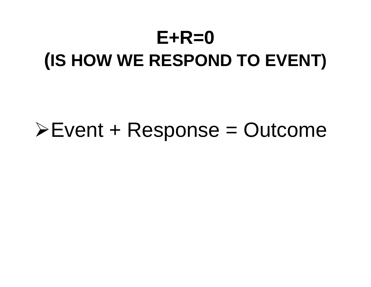### **E+R=0 (IS HOW WE RESPOND TO EVENT)**

#### ¾Event + Response = Outcome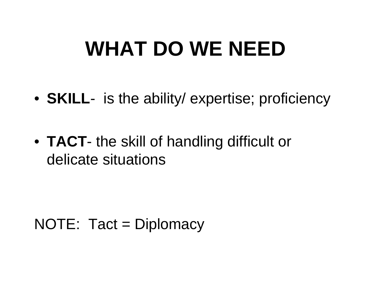# **WHAT DO WE NEED**

- **SKILL** is the ability/ expertise; proficiency
- **TACT** the skill of handling difficult or delicate situations

#### NOTE: Tact = Diplomacy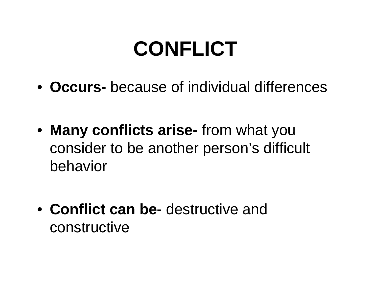# **CONFLICT**

- **Occurs-** because of individual differences
- **Many conflicts arise-** from what you consider to be another person's difficult behavior
- **Conflict can be-** destructive and constructive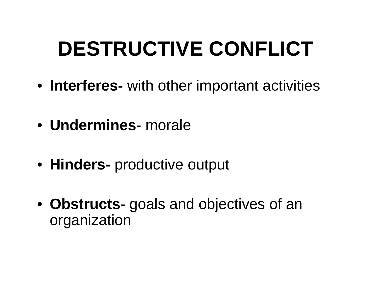# **DESTRUCTIVE CONFLICT**

- **Interferes-** with other important activities
- **Undermines** morale
- **Hinders-** productive output
- **Obstructs** goals and objectives of an organization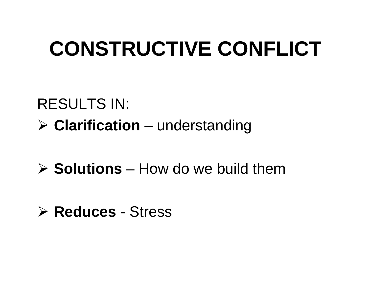# **CONSTRUCTIVE CONFLICT**

#### RESULTS IN: ¾ **Clarification** – understanding

#### ¾ **Solutions** – How do we build them

#### ¾ **Reduces** - Stress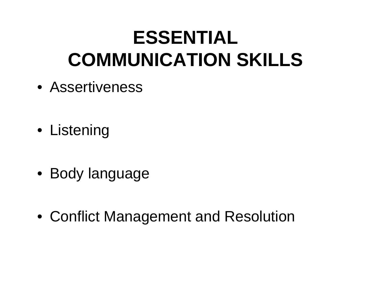#### **ESSENTIAL COMMUNICATION SKILLS**

- Assertiveness
- Listening
- Body language
- Conflict Management and Resolution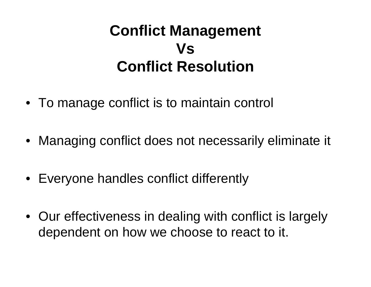#### **Conflict Management Vs Conflict Resolution**

- To manage conflict is to maintain control
- Managing conflict does not necessarily eliminate it
- Everyone handles conflict differently
- Our effectiveness in dealing with conflict is largely dependent on how we choose to react to it.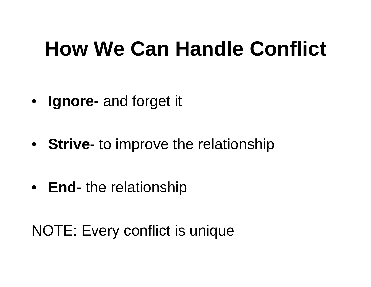# **How We Can Handle Conflict**

- **Ignore-** and forget it
- **Strive** to improve the relationship
- **End-** the relationship

NOTE: Every conflict is unique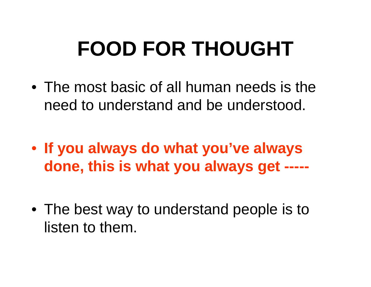# **FOOD FOR THOUGHT**

- The most basic of all human needs is the need to understand and be understood.
- **If you always do what you've always done, this is what you always get -----**
- The best way to understand people is to listen to them.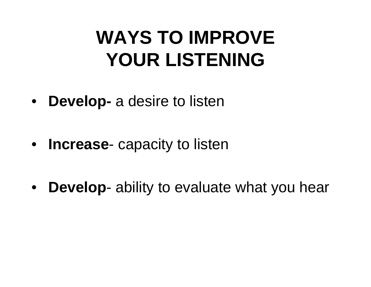## **WAYS TO IMPROVE YOUR LISTENING**

- $\bullet$ **Develop-** a desire to listen
- **Increase** capacity to listen
- $\bullet$ **Develop**- ability to evaluate what you hear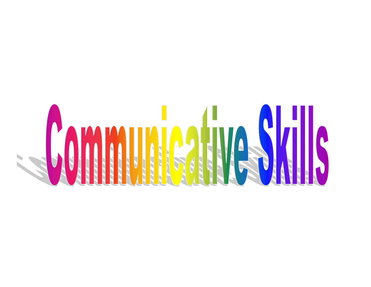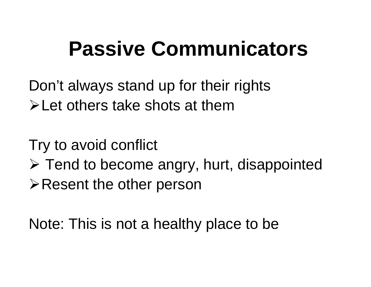# **Passive Communicators**

Don't always stand up for their rights ¾Let others take shots at them

Try to avoid conflict

- $\triangleright$  Tend to become angry, hurt, disappointed
- **≻Resent the other person**

Note: This is not a healthy place to be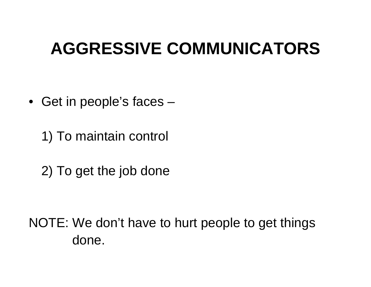### **AGGRESSIVE COMMUNICATORS**

• Get in people's faces –

1) To maintain control

2) To get the job done

NOTE: We don't have to hurt people to get things done.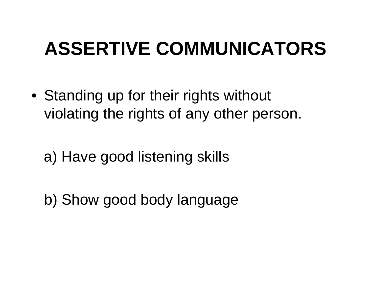# **ASSERTIVE COMMUNICATORS**

• Standing up for their rights without violating the rights of any other person.

a) Have good listening skills

b) Show good body language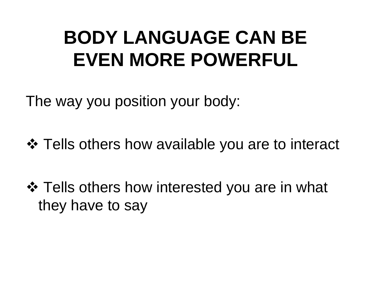## **BODY LANGUAGE CAN BE EVEN MORE POWERFUL**

The way you position your body:

❖ Tells others how available you are to interact

❖ Tells others how interested you are in what they have to say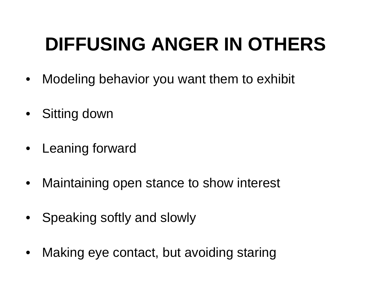# **DIFFUSING ANGER IN OTHERS**

- $\bullet$ Modeling behavior you want them to exhibit
- Sitting down
- Leaning forward
- $\bullet$ Maintaining open stance to show interest
- Speaking softly and slowly
- $\bullet$ Making eye contact, but avoiding staring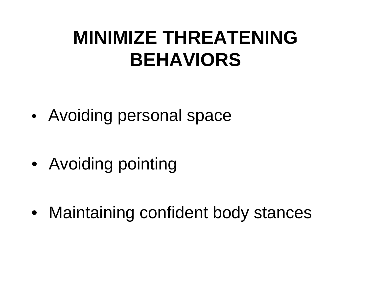### **MINIMIZE THREATENING BEHAVIORS**

•Avoiding personal space

• Avoiding pointing

• Maintaining confident body stances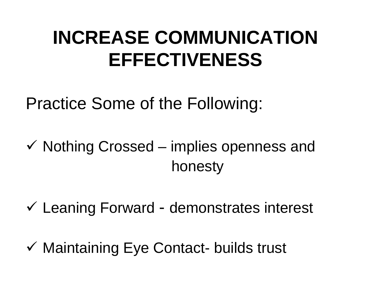## **INCREASE COMMUNICATIONEFFECTIVENESS**

Practice Some of the Following:

- $\checkmark$  Nothing Crossed implies openness and honesty
- $\checkmark$  Leaning Forward demonstrates interest
- √ Maintaining Eye Contact- builds trust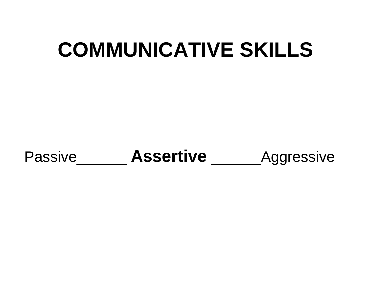# **COMMUNICATIVE SKILLS**

Passive\_\_\_\_\_\_\_\_ Assertive \_\_\_\_\_\_\_\_ Aggressive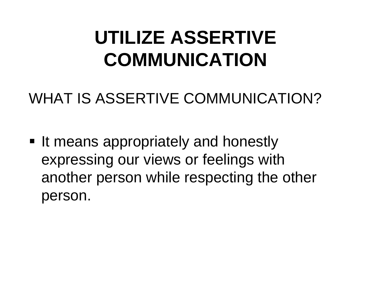## **UTILIZE ASSERTIVE COMMUNICATION**

WHAT IS ASSERTIVE COMMUNICATION?

**If means appropriately and honestly** expressing our views or feelings with another person while respecting the other person.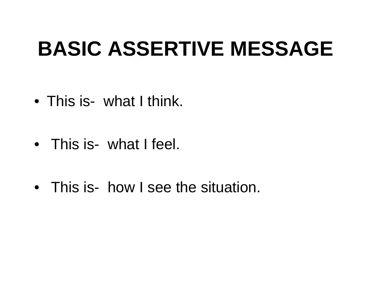# **BASIC ASSERTIVE MESSAGE**

- This is- what I think.
- This is- what I feel.
- This is- how I see the situation.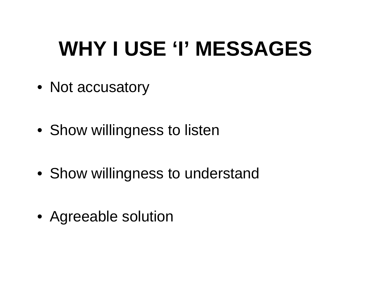# **WHY I USE 'I' MESSAGES**

- Not accusatory
- Show willingness to listen
- Show willingness to understand
- Agreeable solution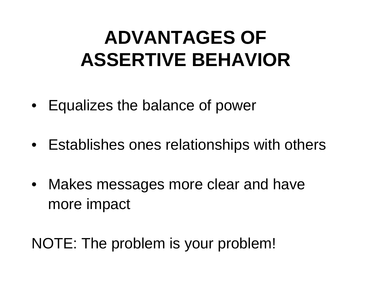## **ADVANTAGES OF ASSERTIVE BEHAVIOR**

- $\bullet$ Equalizes the balance of power
- Establishes ones relationships with others
- Makes messages more clear and have more impact

NOTE: The problem is your problem!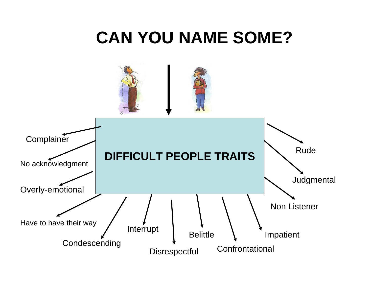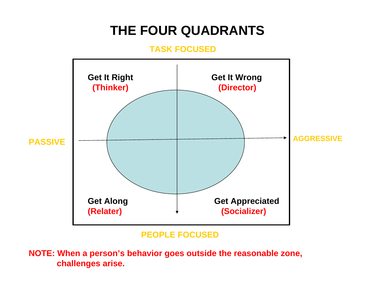### **THE FOUR QUADRANTS**

#### **TASK FOCUSED**



#### **PEOPLE FOCUSED**

**NOTE: When a person's behavior goes outside the reasonable zone, challenges arise.**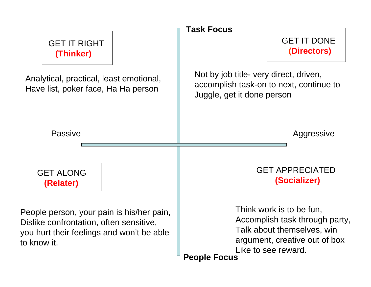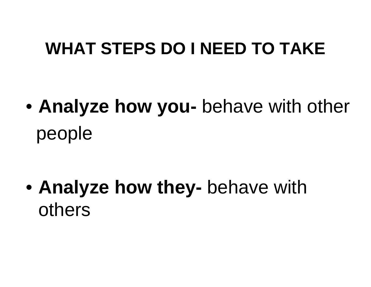### **WHAT STEPS DO I NEED TO TAKE**

 $\bullet$  **Analyze how you-** behave with other people

 $\bullet$  **Analyze how they-** behave with others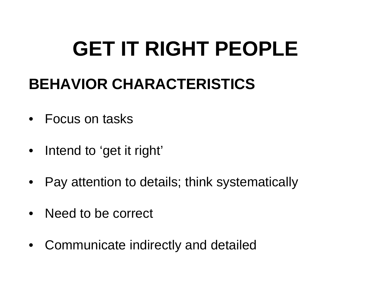# **GET IT RIGHT PEOPLE**

### **BEHAVIOR CHARACTERISTICS**

- Focus on tasks
- $\bullet$ Intend to 'get it right'
- Pay attention to details; think systematically
- Need to be correct
- $\bullet$ Communicate indirectly and detailed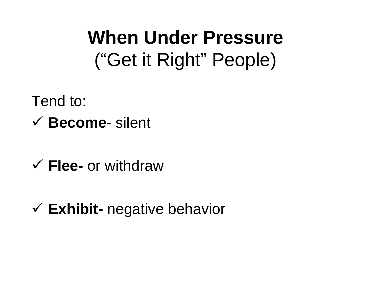## **When Under Pressure** ("Get it Right" People)

Tend to:

- 9 **Become** silent
- 9 **Flee-** or withdraw
- 9 **Exhibit-** negative behavior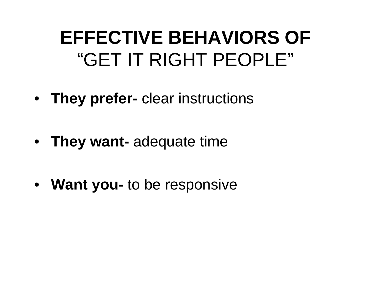### **EFFECTIVE BEHAVIORS OF** "GET IT RIGHT PEOPLE"

- **They prefer-** clear instructions
- **They want-** adequate time
- **Want you-** to be responsive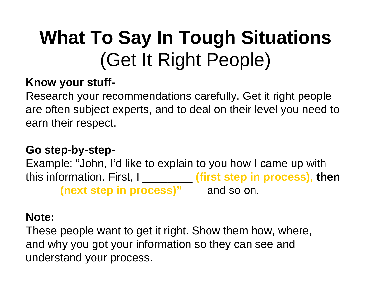# **What To Say In Tough Situations** (Get It Right People)

#### **Know your stuff-**

Research your recommendations carefully. Get it right people are often subject experts, and to deal on their level you need to earn their respect.

#### **Go step-by-step-**

Example: "John, I'd like to explain to you how I came up with this information. First, I \_\_\_\_\_\_\_\_ **(first step in process), then \_\_\_\_\_ (next step in process)" \_\_\_** and so on.

#### **Note:**

These people want to get it right. Show them how, where, and why you got your information so they can see and understand your process.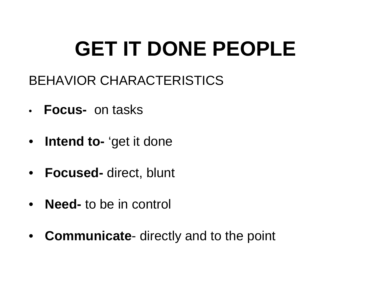# **GET IT DONE PEOPLE**

- BEHAVIOR CHARACTERISTICS
- **Focus-** on tasks
- **Intend to-** 'get it done
- **Focused-** direct, blunt
- •**Need-** to be in control
- **Communicate** directly and to the point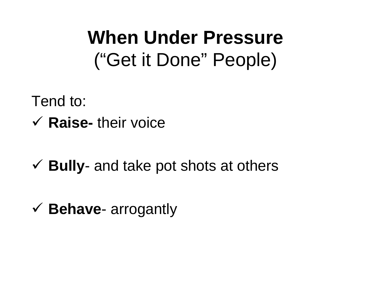### **When Under Pressure** ("Get it Done" People)

Tend to:

9 **Raise-** their voice

**√ Bully-** and take pot shots at others

9 **Behave**- arrogantly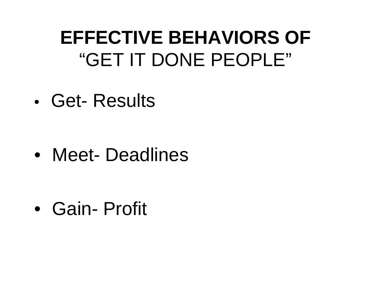### **EFFECTIVE BEHAVIORS OF** "GET IT DONE PEOPLE"

• Get- Results

•Meet- Deadlines

•Gain- Profit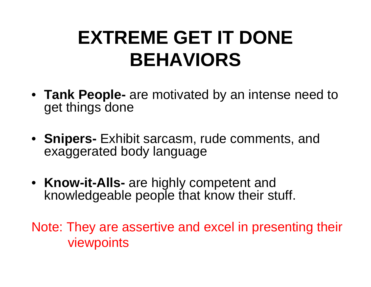## **EXTREME GET IT DONE BEHAVIORS**

- **Tank People-** are motivated by an intense need to get things done
- **Snipers-** Exhibit sarcasm, rude comments, and exaggerated body language
- **Know-it-Alls-** are highly competent and knowledgeable people that know their stuff.

Note: They are assertive and excel in presenting their viewpoints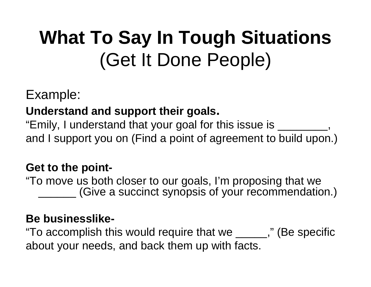# **What To Say In Tough Situations** (Get It Done People)

#### Example:

#### **Understand and support their goals.**

"Emily, I understand that your goal for this issue is \_\_\_\_\_\_\_\_, and I support you on (Find a point of agreement to build upon.)

#### **Get to the point-**

"To move us both closer to our goals, I'm proposing that we (Give a succinct synopsis of your recommendation.)

#### **Be businesslike-**

"To accomplish this would require that we \_\_\_\_\_," (Be specific about your needs, and back them up with facts.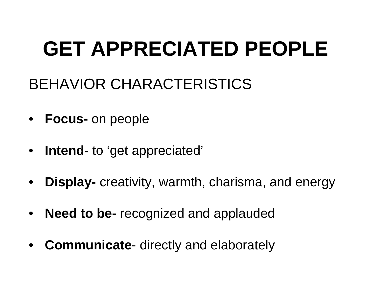# **GET APPRECIATED PEOPLE**

- BEHAVIOR CHARACTERISTICS
- **Focus-** on people
- •**Intend-** to 'get appreciated'
- $\bullet$ **Display-** creativity, warmth, charisma, and energy
- $\bullet$ **Need to be-** recognized and applauded
- $\bullet$ **Communicate**- directly and elaborately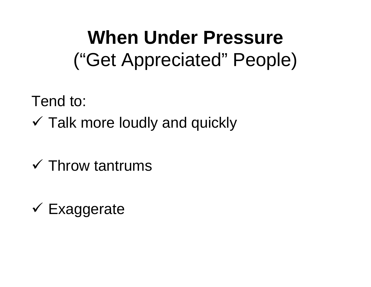## **When Under Pressure** ("Get Appreciated" People)

Tend to:

- $\checkmark$  Talk more loudly and quickly
- $\checkmark$  Throw tantrums
- $\checkmark$  Exaggerate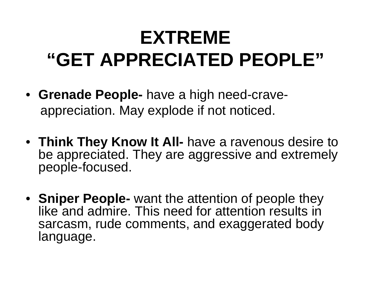# **EXTREME"GET APPRECIATED PEOPLE"**

- **Grenade People-** have a high need-craveappreciation. May explode if not noticed.
- **Think They Know It All-** have a ravenous desire to be appreciated. They are aggressive and extremely people-focused.
- **Sniper People-** want the attention of people they like and admire. This need for attention results in sarcasm, rude comments, and exaggerated body language.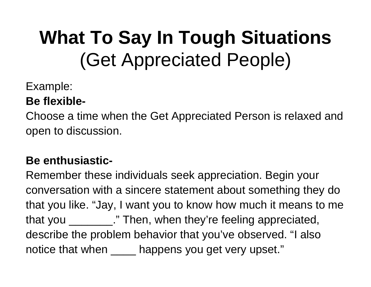# **What To Say In Tough Situations** (Get Appreciated People)

#### Example:

#### **Be flexible-**

Choose a time when the Get Appreciated Person is relaxed and open to discussion.

#### **Be enthusiastic-**

Remember these individuals seek appreciation. Begin your conversation with a sincere statement about something they do that you like. "Jay, I want you to know how much it means to me that you \_\_\_\_\_\_\_\_\_." Then, when they're feeling appreciated, describe the problem behavior that you've observed. "I also notice that when \_\_\_\_\_ happens you get very upset."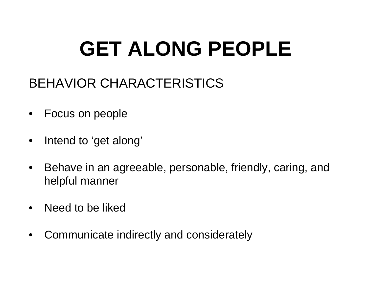# **GET ALONG PEOPLE**

### BEHAVIOR CHARACTERISTICS

- $\bullet$ Focus on people
- $\bullet$ Intend to 'get along'
- $\bullet$  Behave in an agreeable, personable, friendly, caring, and helpful manner
- $\bullet$ Need to be liked
- •Communicate indirectly and considerately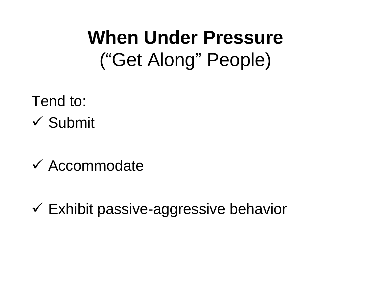## **When Under Pressure** ("Get Along" People)

Tend to:  $\checkmark$  Submit

- $\checkmark$  Accommodate
- $\checkmark$  Exhibit passive-aggressive behavior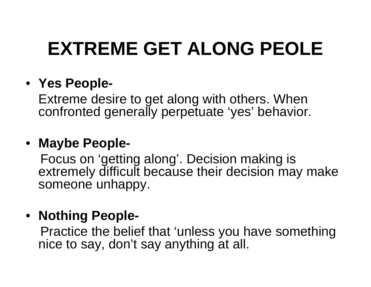# **EXTREME GET ALONG PEOLE**

#### • **Yes People-**

Extreme desire to get along with others. When confronted generally perpetuate 'yes' behavior.

#### • **Maybe People-**

Focus on 'getting along'. Decision making is extremely difficult because their decision may make someone unhappy.

#### • **Nothing People-**

Practice the belief that 'unless you have something nice to say, don't say anything at all.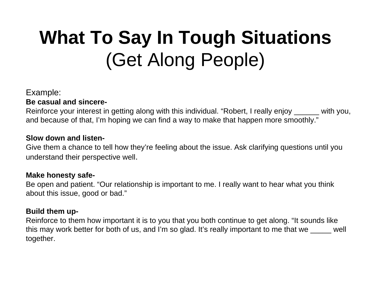# **What To Say In Tough Situations** (Get Along People)

#### Example:

**Be casual and sincere-**

Reinforce your interest in getting along with this individual. "Robert, I really enjoy \_\_\_\_\_\_ with you, and because of that, I'm hoping we can find a way to make that happen more smoothly."

#### **Slow down and listen-**

Give them a chance to tell how they're feeling about the issue. Ask clarifying questions until you understand their perspective well.

#### **Make honesty safe-**

Be open and patient. "Our relationship is important to me. I really want to hear what you think about this issue, good or bad."

#### **Build them up-**

Reinforce to them how important it is to you that you both continue to get along. "It sounds like this may work better for both of us, and I'm so glad. It's really important to me that we well together.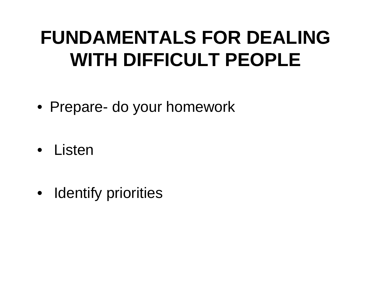## **FUNDAMENTALS FOR DEALING WITH DIFFICULT PEOPLE**

- Prepare- do your homework
- Listen
- $\bullet$ Identify priorities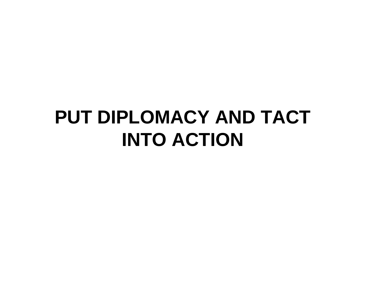### **PUT DIPLOMACY AND TACT INTO ACTION**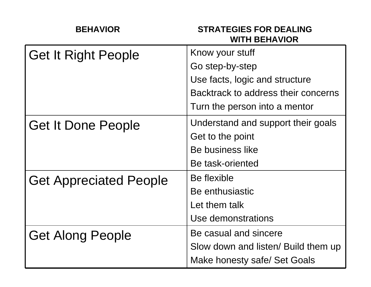| <b>BEHAVIOR</b>               | <b>STRATEGIES FOR DEALING</b><br><b>WITH BEHAVIOR</b> |
|-------------------------------|-------------------------------------------------------|
| <b>Get It Right People</b>    | Know your stuff                                       |
|                               | Go step-by-step                                       |
|                               | Use facts, logic and structure                        |
|                               | Backtrack to address their concerns                   |
|                               | Turn the person into a mentor                         |
| <b>Get It Done People</b>     | Understand and support their goals                    |
|                               | Get to the point                                      |
|                               | Be business like                                      |
|                               | Be task-oriented                                      |
| <b>Get Appreciated People</b> | Be flexible                                           |
|                               | Be enthusiastic                                       |
|                               | Let them talk                                         |
|                               | Use demonstrations                                    |
| <b>Get Along People</b>       | Be casual and sincere                                 |
|                               | Slow down and listen/ Build them up                   |
|                               | Make honesty safe/ Set Goals                          |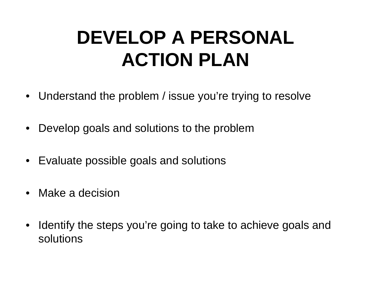## **DEVELOP A PERSONAL ACTION PLAN**

- Understand the problem / issue you're trying to resolve
- •Develop goals and solutions to the problem
- •Evaluate possible goals and solutions
- Make a decision
- $\bullet$  Identify the steps you're going to take to achieve goals and solutions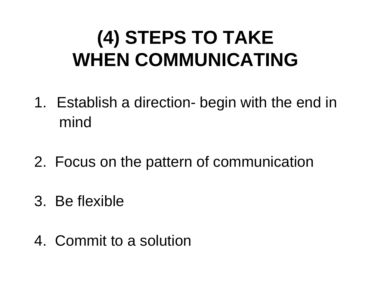## **(4) STEPS TO TAKE WHEN COMMUNICATING**

- 1. Establish a direction- begin with the end in mind
- 2. Focus on the pattern of communication
- 3. Be flexible
- 4. Commit to a solution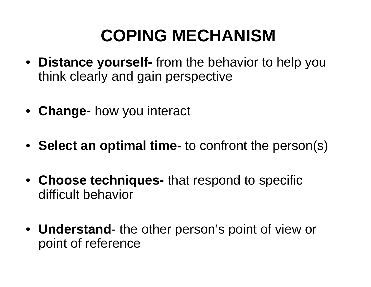### **COPING MECHANISM**

- **Distance yourself-** from the behavior to help you think clearly and gain perspective
- **Change** how you interact
- **Select an optimal time-** to confront the person(s)
- **Choose techniques-** that respond to specific difficult behavior
- **Understand** the other person's point of view or point of reference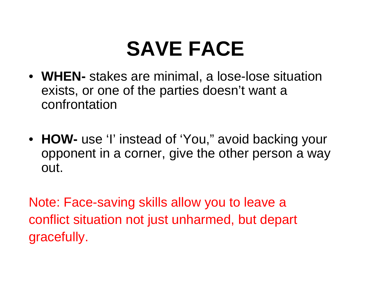# **SAVE FACE**

- **WHEN-** stakes are minimal, a lose-lose situation exists, or one of the parties doesn't want a confrontation
- **HOW-** use 'I' instead of 'You," avoid backing your opponent in a corner, give the other person a way out.

Note: Face-saving skills allow you to leave a conflict situation not just unharmed, but depart gracefully.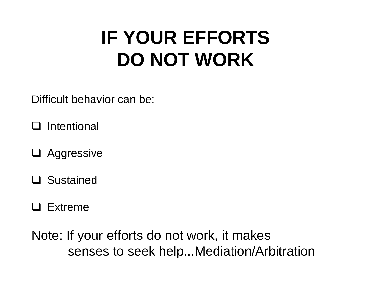## **IF YOUR EFFORTS DO NOT WORK**

Difficult behavior can be:

 $\mathbf{I}$ Intentional

- □ Aggressive
- Sustained
- **Q** Extreme

Note: If your efforts do not work, it makes senses to seek help...Mediation/Arbitration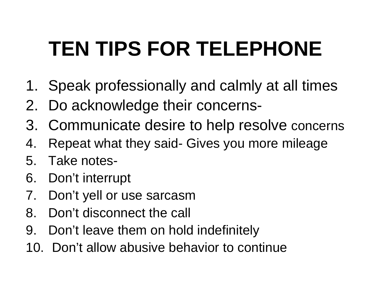# **TEN TIPS FOR TELEPHONE**

- 1. Speak professionally and calmly at all times
- 2. Do acknowledge their concerns-
- 3. Communicate desire to help resolve concerns
- 4. Repeat what they said- Gives you more mileage
- 5. Take notes-
- 6. Don't interrupt
- 7. Don't yell or use sarcasm
- 8. Don't disconnect the call
- 9. Don't leave them on hold indefinitely
- 10. Don't allow abusive behavior to continue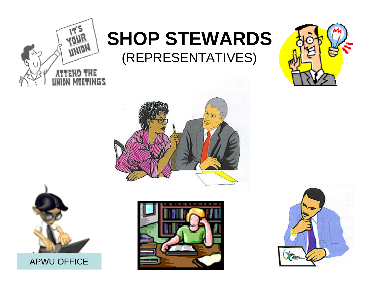

#### **SHOP STEWARDS** (REPRESENTATIVES)







APWU OFFICE



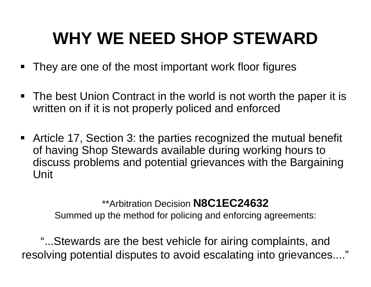### **WHY WE NEED SHOP STEWARD**

- **They are one of the most important work floor figures**
- The best Union Contract in the world is not worth the paper it is written on if it is not properly policed and enforced
- Article 17, Section 3: the parties recognized the mutual benefit of having Shop Stewards available during working hours to discuss problems and potential grievances with the Bargaining Unit

#### \*\*Arbitration Decision **N8C1EC24632**

Summed up the method for policing and enforcing agreements:

"...Stewards are the best vehicle for airing complaints, and resolving potential disputes to avoid escalating into grievances...."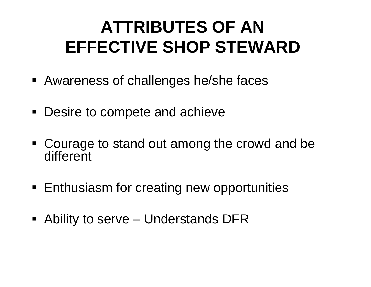### **ATTRIBUTES OF AN EFFECTIVE SHOP STEWARD**

- Awareness of challenges he/she faces
- Desire to compete and achieve
- **Courage to stand out among the crowd and be** different
- Enthusiasm for creating new opportunities
- Ability to serve Understands DFR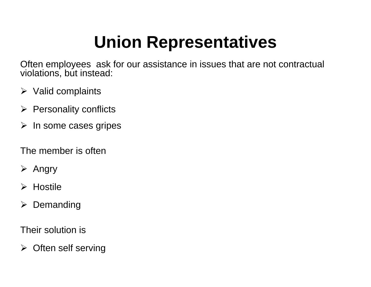### **Union Representatives**

Often employees ask for our assistance in issues that are not contractual violations, but instead:

- $\triangleright$  Valid complaints
- $\triangleright$  Personality conflicts
- $\triangleright$  In some cases gripes
- The member is often
- ¾ Angry
- ¾ Hostile
- ¾Demanding

Their solution is

¾ Often self serving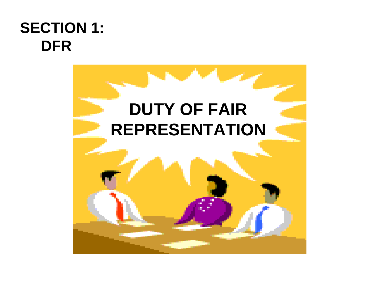#### **SECTION 1: DFR**

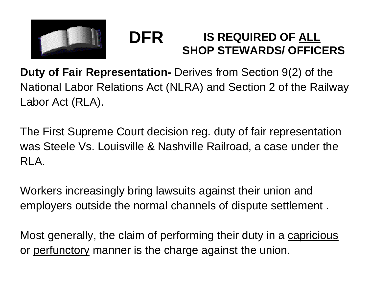

#### **DFRIS REQUIRED OF ALL SHOP STEWARDS/ OFFICERS**

**Duty of Fair Representation-** Derives from Section 9(2) of the National Labor Relations Act (NLRA) and Section 2 of the Railway Labor Act (RLA).

The First Supreme Court decision reg. duty of fair representation was Steele Vs. Louisville & Nashville Railroad, a case under the RLA.

Workers increasingly bring lawsuits against their union and employers outside the normal channels of dispute settlement .

Most generally, the claim of performing their duty in a capricious or perfunctory manner is the charge against the union.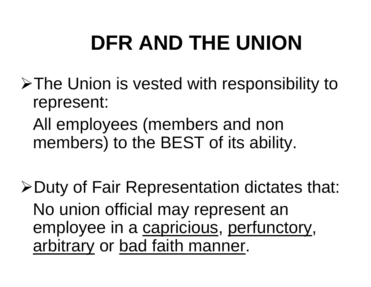# **DFR AND THE UNION**

- ¾The Union is vested with responsibility to represent:
	- All employees (members and non members) to the BEST of its ability.
- ¾Duty of Fair Representation dictates that: No union official may represent an employee in a capricious, perfunctory, arbitrary or bad faith manner.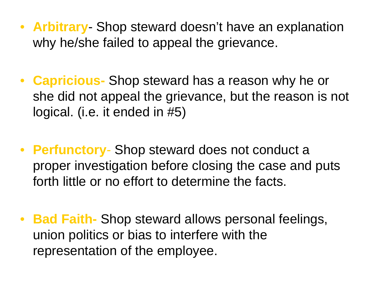- **Arbitrary** Shop steward doesn't have an explanation why he/she failed to appeal the grievance.
- **Capricious-** Shop steward has a reason why he or she did not appeal the grievance, but the reason is not logical. (i.e. it ended in #5)
- **Perfunctory** Shop steward does not conduct a proper investigation before closing the case and puts forth little or no effort to determine the facts.
- **Bad Faith-** Shop steward allows personal feelings, union politics or bias to interfere with the representation of the employee.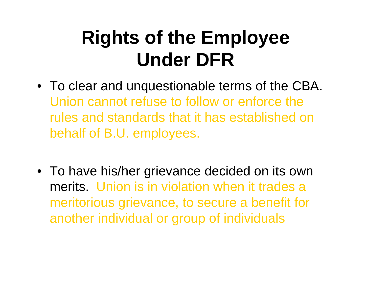## **Rights of the Employee Under DFR**

- To clear and unquestionable terms of the CBA. Union cannot refuse to follow or enforce the rules and standards that it has established on behalf of B.U. employees.
- To have his/her grievance decided on its own merits. Union is in violation when it trades a meritorious grievance, to secure a benefit for another individual or group of individuals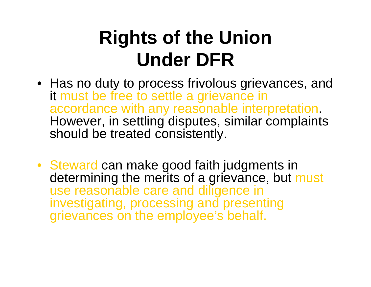## **Rights of the Union Under DFR**

- Has no duty to process frivolous grievances, and it must be free to settle a grievance in accordance with any reasonable interpretation. However, in settling disputes, similar complaints should be treated consistently.
- Steward can make good faith judgments in determining the merits of a grievance, but must use reasonable care and diligence in investigating, processing and presenting grievances on the employee's behalf.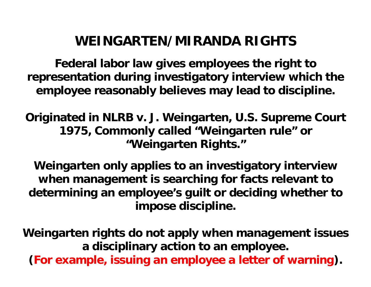#### **WEINGARTEN/MIRANDA RIGHTS**

**Federal labor law gives employees the right to representation during investigatory interview which the employee reasonably believes may lead to discipline.** 

**Originated in NLRB v. J. Weingarten, U.S. Supreme Court 1975, Commonly called "Weingarten rule" or "Weingarten Rights."**

**Weingarten only applies to an investigatory interview when management is searching for facts relevant to determining an employee's guilt or deciding whether to impose discipline.** 

**Weingarten rights do not apply when management issues a disciplinary action to an employee. (For example, issuing an employee a letter of warning).**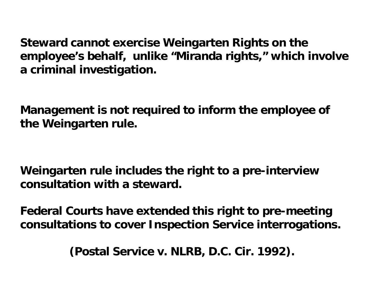**Steward cannot exercise Weingarten Rights on the employee's behalf, unlike "Miranda rights," which involve a criminal investigation.** 

**Management is not required to inform the employee of the Weingarten rule.**

**Weingarten rule includes the right to a pre-interview consultation with a steward.** 

**Federal Courts have extended this right to pre-meeting consultations to cover Inspection Service interrogations.** 

**(Postal Service v. NLRB, D.C. Cir. 1992).**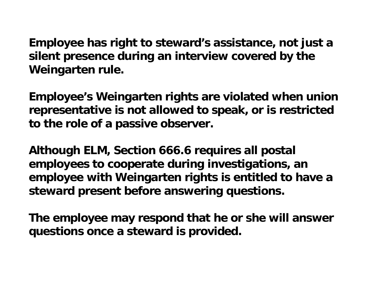**Employee has right to steward's assistance, not just a silent presence during an interview covered by the Weingarten rule.** 

**Employee's Weingarten rights are violated when union representative is not allowed to speak, or is restricted to the role of a passive observer.** 

**Although ELM, Section 666.6 requires all postal employees to cooperate during investigations, an employee with Weingarten rights is entitled to have a steward present before answering questions.** 

**The employee may respond that he or she will answer questions once a steward is provided.**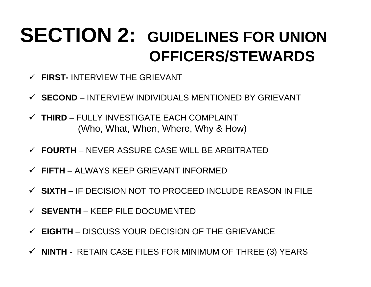### **SECTION 2: GUIDELINES FOR UNION OFFICERS/STEWARDS**

- 9 **FIRST-** INTERVIEW THE GRIEVANT
- 9 **SECOND** INTERVIEW INDIVIDUALS MENTIONED BY GRIEVANT
- 9 **THIRD** FULLY INVESTIGATE EACH COMPLAINT (Who, What, When, Where, Why & How)
- 9 **FOURTH** NEVER ASSURE CASE WILL BE ARBITRATED
- 9 **FIFTH** ALWAYS KEEP GRIEVANT INFORMED
- 9 **SIXTH** IF DECISION NOT TO PROCEED INCLUDE REASON IN FILE
- 9 **SEVENTH**  KEEP FILE DOCUMENTED
- 9 **EIGHTH** DISCUSS YOUR DECISION OF THE GRIEVANCE
- 9 **NINTH** RETAIN CASE FILES FOR MINIMUM OF THREE (3) YEARS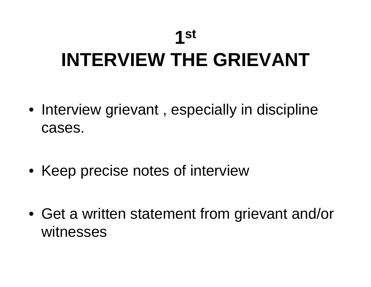#### **1st**

# **INTERVIEW THE GRIEVANT**

- Interview grievant , especially in discipline cases.
- Keep precise notes of interview
- Get a written statement from grievant and/or witnesses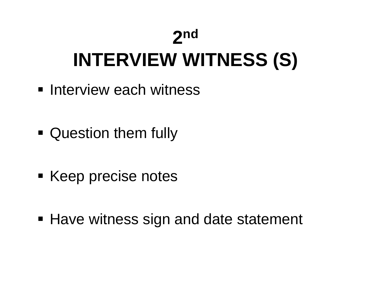#### **2n<sup>d</sup>**

# **INTERVIEW WITNESS (S)**

- **Interview each witness**
- **Question them fully**
- **Example 2 Keep precise notes**
- Have witness sign and date statement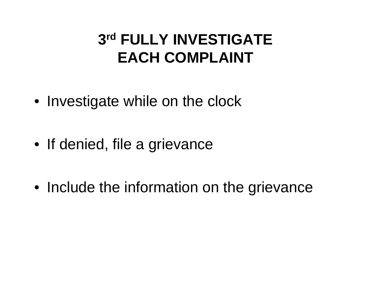#### **3r<sup>d</sup> FULLY INVESTIGATE EACH COMPLAINT**

- Investigate while on the clock
- If denied, file a grievance
- Include the information on the grievance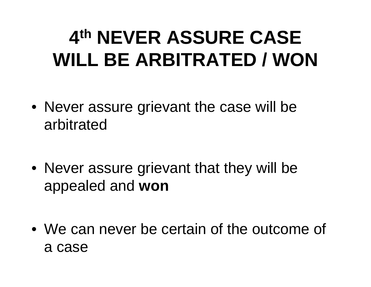## **4th NEVER ASSURE CASE WILL BE ARBITRATED / WON**

- Never assure grievant the case will be arbitrated
- Never assure grievant that they will be appealed and **won**
- We can never be certain of the outcome of a case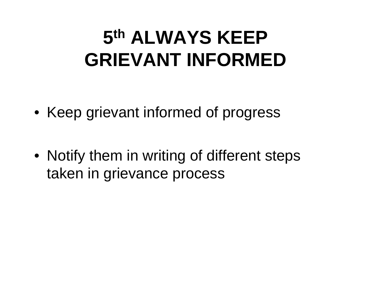## **5th ALWAYS KEEP GRIEVANT INFORMED**

- Keep grievant informed of progress
- Notify them in writing of different steps taken in grievance process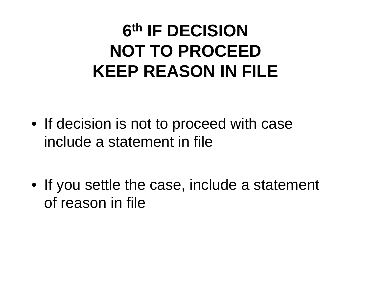### **6th IF DECISION NOT TO PROCEEDKEEP REASON IN FILE**

- If decision is not to proceed with case include a statement in file
- If you settle the case, include a statement of reason in file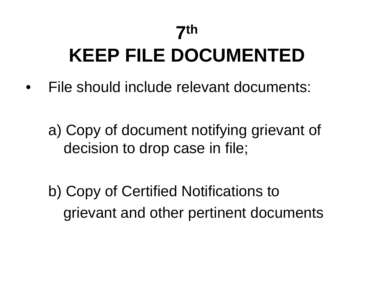#### **7th**

# **KEEP FILE DOCUMENTED**

•File should include relevant documents:

a) Copy of document notifying grievant of decision to drop case in file;

b) Copy of Certified Notifications to grievant and other pertinent documents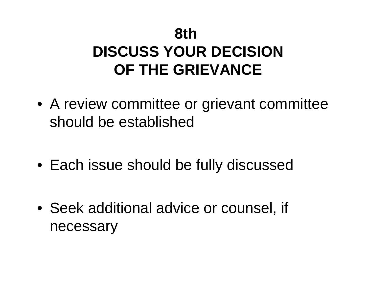#### **8th DISCUSS YOUR DECISIONOF THE GRIEVANCE**

- A review committee or grievant committee should be established
- Each issue should be fully discussed
- Seek additional advice or counsel, if necessary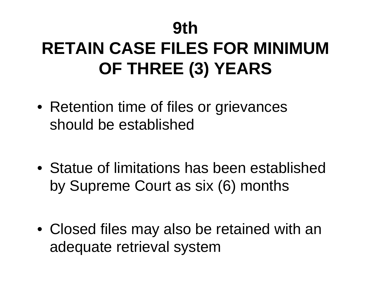#### **9th**

## **RETAIN CASE FILES FOR MINIMUM OF THREE (3) YEARS**

- Retention time of files or grievances should be established
- Statue of limitations has been established by Supreme Court as six (6) months
- Closed files may also be retained with an adequate retrieval system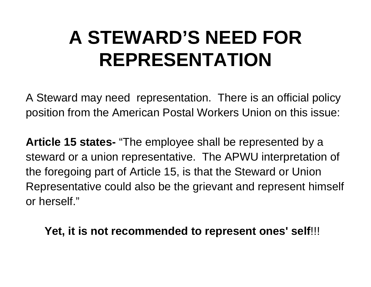## **A STEWARD'S NEED FOR REPRESENTATION**

A Steward may need representation. There is an official policy position from the American Postal Workers Union on this issue:

**Article 15 states-** "The employee shall be represented by a steward or a union representative. The APWU interpretation of the foregoing part of Article 15, is that the Steward or Union Representative could also be the grievant and represent himself or herself."

#### **Yet, it is not recommended to represent ones' self**!!!